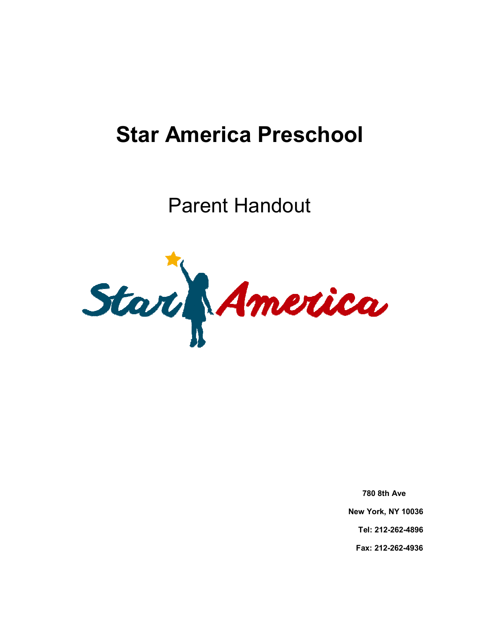# **Star America Preschool**

Parent Handout



**780 8th Ave New York, NY 10036 Tel: 212-262-4896 Fax: 212-262-4936**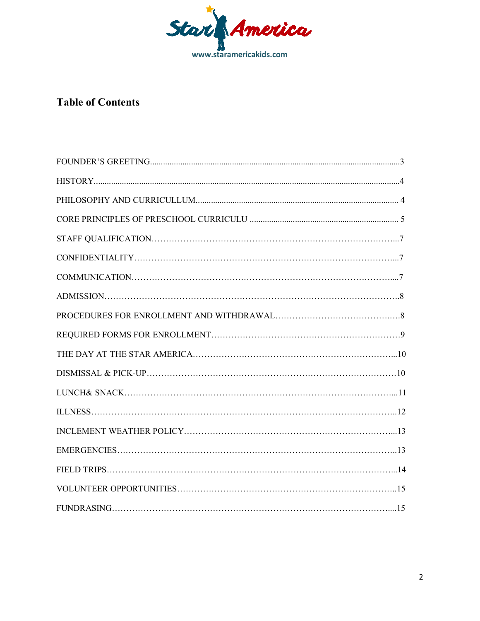

# **Table of Contents**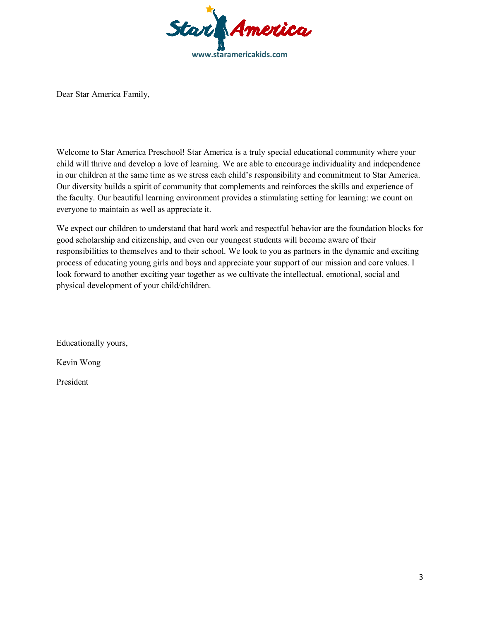

Dear Star America Family,

Welcome to Star America Preschool! Star America is a truly special educational community where your child will thrive and develop a love of learning. We are able to encourage individuality and independence in our children at the same time as we stress each child's responsibility and commitment to Star America. Our diversity builds a spirit of community that complements and reinforces the skills and experience of the faculty. Our beautiful learning environment provides a stimulating setting for learning: we count on everyone to maintain as well as appreciate it.

We expect our children to understand that hard work and respectful behavior are the foundation blocks for good scholarship and citizenship, and even our youngest students will become aware of their responsibilities to themselves and to their school. We look to you as partners in the dynamic and exciting process of educating young girls and boys and appreciate your support of our mission and core values. I look forward to another exciting year together as we cultivate the intellectual, emotional, social and physical development of your child/children.

Educationally yours,

Kevin Wong

President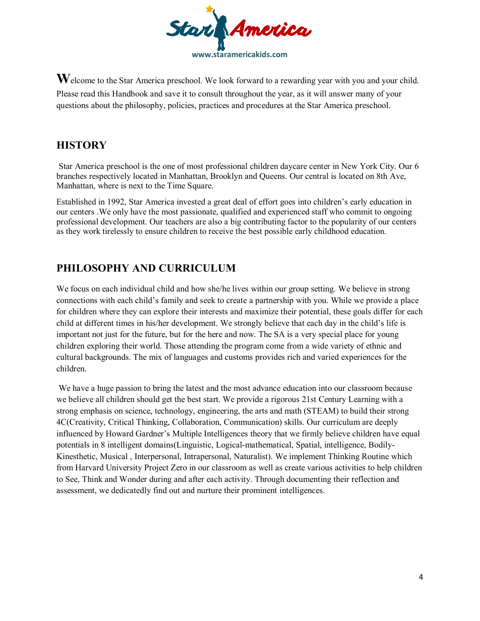

Welcome to the Star America preschool. We look forward to a rewarding year with you and your child. Please read this Handbook and save it to consult throughout the year, as it will answer many of your questions about the philosophy, policies, practices and procedures at the Star America preschool.

## **HISTORY**

 Star America preschool is the one of most professional children daycare center in New York City. Our 6 branches respectively located in Manhattan, Brooklyn and Queens. Our central is located on 8th Ave, Manhattan, where is next to the Time Square.

Established in 1992, Star America invested a great deal of effort goes into children's early education in our centers .We only have the most passionate, qualified and experienced staff who commit to ongoing professional development. Our teachers are also a big contributing factor to the popularity of our centers as they work tirelessly to ensure children to receive the best possible early childhood education.

# **PHILOSOPHY AND CURRICULUM**

We focus on each individual child and how she/he lives within our group setting. We believe in strong connections with each child's family and seek to create a partnership with you. While we provide a place for children where they can explore their interests and maximize their potential, these goals differ for each child at different times in his/her development. We strongly believe that each day in the child's life is important not just for the future, but for the here and now. The SA is a very special place for young children exploring their world. Those attending the program come from a wide variety of ethnic and cultural backgrounds. The mix of languages and customs provides rich and varied experiences for the children.

 We have a huge passion to bring the latest and the most advance education into our classroom because we believe all children should get the best start. We provide a rigorous 21st Century Learning with a strong emphasis on science, technology, engineering, the arts and math (STEAM) to build their strong 4C(Creativity, Critical Thinking, Collaboration, Communication) skills. Our curriculum are deeply influenced by Howard Gardner's Multiple Intelligences theory that we firmly believe children have equal potentials in 8 intelligent domains(Linguistic, Logical-mathematical, Spatial, intelligence, Bodily-Kinesthetic, Musical , Interpersonal, Intrapersonal, Naturalist). We implement Thinking Routine which from Harvard University Project Zero in our classroom as well as create various activities to help children to See, Think and Wonder during and after each activity. Through documenting their reflection and assessment, we dedicatedly find out and nurture their prominent intelligences.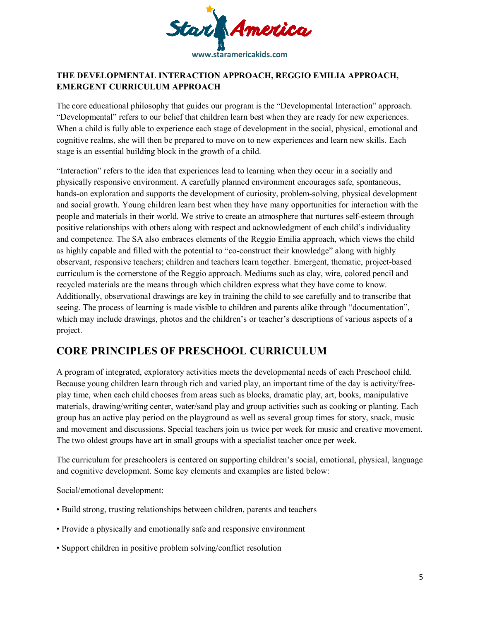

### **THE DEVELOPMENTAL INTERACTION APPROACH, REGGIO EMILIA APPROACH, EMERGENT CURRICULUM APPROACH**

The core educational philosophy that guides our program is the "Developmental Interaction" approach. "Developmental" refers to our belief that children learn best when they are ready for new experiences. When a child is fully able to experience each stage of development in the social, physical, emotional and cognitive realms, she will then be prepared to move on to new experiences and learn new skills. Each stage is an essential building block in the growth of a child.

"Interaction" refers to the idea that experiences lead to learning when they occur in a socially and physically responsive environment. A carefully planned environment encourages safe, spontaneous, hands-on exploration and supports the development of curiosity, problem-solving, physical development and social growth. Young children learn best when they have many opportunities for interaction with the people and materials in their world. We strive to create an atmosphere that nurtures self-esteem through positive relationships with others along with respect and acknowledgment of each child's individuality and competence. The SA also embraces elements of the Reggio Emilia approach, which views the child as highly capable and filled with the potential to "co-construct their knowledge" along with highly observant, responsive teachers; children and teachers learn together. Emergent, thematic, project-based curriculum is the cornerstone of the Reggio approach. Mediums such as clay, wire, colored pencil and recycled materials are the means through which children express what they have come to know. Additionally, observational drawings are key in training the child to see carefully and to transcribe that seeing. The process of learning is made visible to children and parents alike through "documentation", which may include drawings, photos and the children's or teacher's descriptions of various aspects of a project.

# **CORE PRINCIPLES OF PRESCHOOL CURRICULUM**

A program of integrated, exploratory activities meets the developmental needs of each Preschool child. Because young children learn through rich and varied play, an important time of the day is activity/freeplay time, when each child chooses from areas such as blocks, dramatic play, art, books, manipulative materials, drawing/writing center, water/sand play and group activities such as cooking or planting. Each group has an active play period on the playground as well as several group times for story, snack, music and movement and discussions. Special teachers join us twice per week for music and creative movement. The two oldest groups have art in small groups with a specialist teacher once per week.

The curriculum for preschoolers is centered on supporting children's social, emotional, physical, language and cognitive development. Some key elements and examples are listed below:

Social/emotional development:

- Build strong, trusting relationships between children, parents and teachers
- Provide a physically and emotionally safe and responsive environment
- Support children in positive problem solving/conflict resolution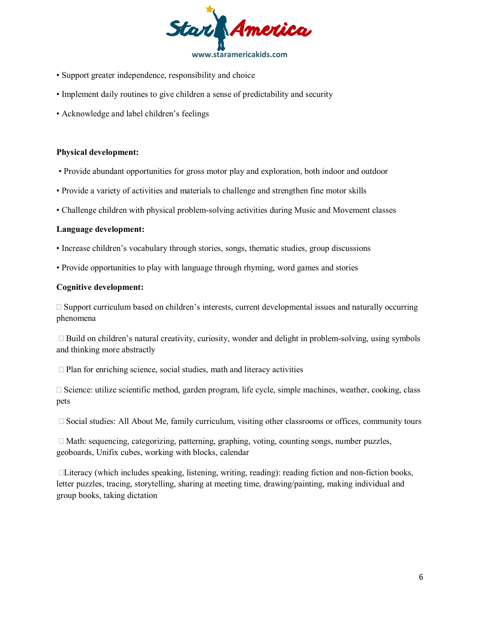

- Support greater independence, responsibility and choice
- Implement daily routines to give children a sense of predictability and security
- Acknowledge and label children's feelings

### **Physical development:**

- Provide abundant opportunities for gross motor play and exploration, both indoor and outdoor
- Provide a variety of activities and materials to challenge and strengthen fine motor skills
- Challenge children with physical problem-solving activities during Music and Movement classes

#### **Language development:**

- Increase children's vocabulary through stories, songs, thematic studies, group discussions
- Provide opportunities to play with language through rhyming, word games and stories

### **Cognitive development:**

 $\Box$  Support curriculum based on children's interests, current developmental issues and naturally occurring phenomena

 $\Box$  Build on children's natural creativity, curiosity, wonder and delight in problem-solving, using symbols and thinking more abstractly

 $\Box$  Plan for enriching science, social studies, math and literacy activities

 $\Box$  Science: utilize scientific method, garden program, life cycle, simple machines, weather, cooking, class pets

 $\Box$  Social studies: All About Me, family curriculum, visiting other classrooms or offices, community tours

 $\Box$  Math: sequencing, categorizing, patterning, graphing, voting, counting songs, number puzzles, geoboards, Unifix cubes, working with blocks, calendar

 $\Box$ Literacy (which includes speaking, listening, writing, reading): reading fiction and non-fiction books, letter puzzles, tracing, storytelling, sharing at meeting time, drawing/painting, making individual and group books, taking dictation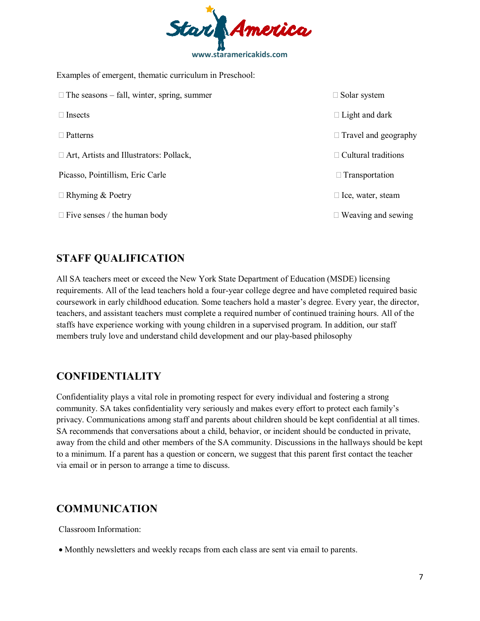

Examples of emergent, thematic curriculum in Preschool:

| $\Box$ The seasons – fall, winter, spring, summer | $\Box$ Solar system         |
|---------------------------------------------------|-----------------------------|
| $\Box$ Insects                                    | $\Box$ Light and dark       |
| $\Box$ Patterns                                   | $\Box$ Travel and geography |
| $\Box$ Art, Artists and Illustrators: Pollack,    | $\Box$ Cultural traditions  |
| Picasso, Pointillism, Eric Carle                  | $\Box$ Transportation       |
| $\Box$ Rhyming & Poetry                           | $\Box$ Ice, water, steam    |
| $\Box$ Five senses / the human body               | Weaving and sewing          |

## **STAFF QUALIFICATION**

All SA teachers meet or exceed the New York State Department of Education (MSDE) licensing requirements. All of the lead teachers hold a four-year college degree and have completed required basic coursework in early childhood education. Some teachers hold a master's degree. Every year, the director, teachers, and assistant teachers must complete a required number of continued training hours. All of the staffs have experience working with young children in a supervised program. In addition, our staff members truly love and understand child development and our play-based philosophy

## **CONFIDENTIALITY**

Confidentiality plays a vital role in promoting respect for every individual and fostering a strong community. SA takes confidentiality very seriously and makes every effort to protect each family's privacy. Communications among staff and parents about children should be kept confidential at all times. SA recommends that conversations about a child, behavior, or incident should be conducted in private, away from the child and other members of the SA community. Discussions in the hallways should be kept to a minimum. If a parent has a question or concern, we suggest that this parent first contact the teacher via email or in person to arrange a time to discuss.

## **COMMUNICATION**

Classroom Information:

• Monthly newsletters and weekly recaps from each class are sent via email to parents.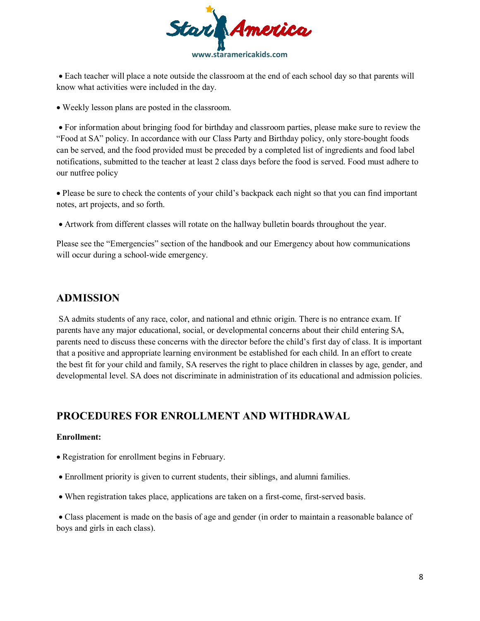

• Each teacher will place a note outside the classroom at the end of each school day so that parents will know what activities were included in the day.

• Weekly lesson plans are posted in the classroom.

• For information about bringing food for birthday and classroom parties, please make sure to review the "Food at SA" policy. In accordance with our Class Party and Birthday policy, only store-bought foods can be served, and the food provided must be preceded by a completed list of ingredients and food label notifications, submitted to the teacher at least 2 class days before the food is served. Food must adhere to our nutfree policy

• Please be sure to check the contents of your child's backpack each night so that you can find important notes, art projects, and so forth.

• Artwork from different classes will rotate on the hallway bulletin boards throughout the year.

Please see the "Emergencies" section of the handbook and our Emergency about how communications will occur during a school-wide emergency.

### **ADMISSION**

 SA admits students of any race, color, and national and ethnic origin. There is no entrance exam. If parents have any major educational, social, or developmental concerns about their child entering SA, parents need to discuss these concerns with the director before the child's first day of class. It is important that a positive and appropriate learning environment be established for each child. In an effort to create the best fit for your child and family, SA reserves the right to place children in classes by age, gender, and developmental level. SA does not discriminate in administration of its educational and admission policies.

### **PROCEDURES FOR ENROLLMENT AND WITHDRAWAL**

### **Enrollment:**

- Registration for enrollment begins in February.
- Enrollment priority is given to current students, their siblings, and alumni families.
- When registration takes place, applications are taken on a first-come, first-served basis.

• Class placement is made on the basis of age and gender (in order to maintain a reasonable balance of boys and girls in each class).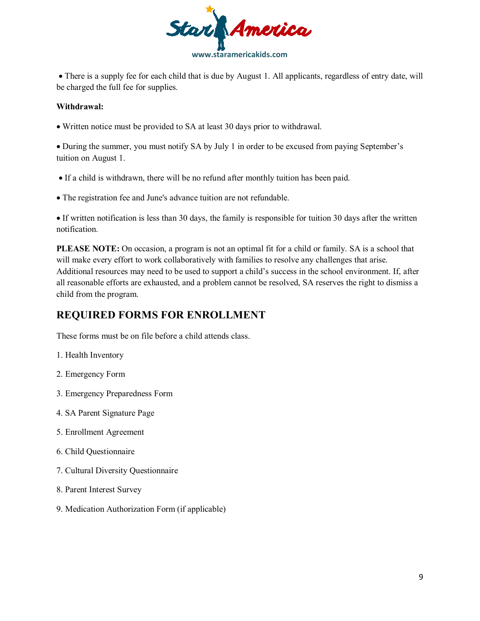

• There is a supply fee for each child that is due by August 1. All applicants, regardless of entry date, will be charged the full fee for supplies.

### **Withdrawal:**

• Written notice must be provided to SA at least 30 days prior to withdrawal.

• During the summer, you must notify SA by July 1 in order to be excused from paying September's tuition on August 1.

- If a child is withdrawn, there will be no refund after monthly tuition has been paid.
- The registration fee and June's advance tuition are not refundable.

• If written notification is less than 30 days, the family is responsible for tuition 30 days after the written notification.

**PLEASE NOTE:** On occasion, a program is not an optimal fit for a child or family. SA is a school that will make every effort to work collaboratively with families to resolve any challenges that arise. Additional resources may need to be used to support a child's success in the school environment. If, after all reasonable efforts are exhausted, and a problem cannot be resolved, SA reserves the right to dismiss a child from the program.

# **REQUIRED FORMS FOR ENROLLMENT**

These forms must be on file before a child attends class.

- 1. Health Inventory
- 2. Emergency Form
- 3. Emergency Preparedness Form
- 4. SA Parent Signature Page
- 5. Enrollment Agreement
- 6. Child Questionnaire
- 7. Cultural Diversity Questionnaire
- 8. Parent Interest Survey
- 9. Medication Authorization Form (if applicable)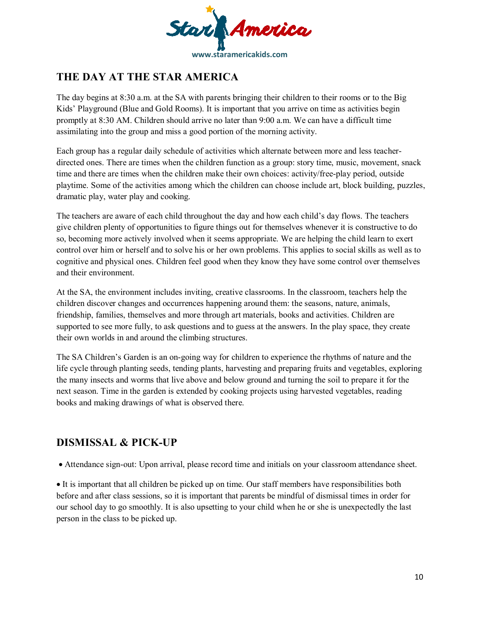

# **THE DAY AT THE STAR AMERICA**

The day begins at 8:30 a.m. at the SA with parents bringing their children to their rooms or to the Big Kids' Playground (Blue and Gold Rooms). It is important that you arrive on time as activities begin promptly at 8:30 AM. Children should arrive no later than 9:00 a.m. We can have a difficult time assimilating into the group and miss a good portion of the morning activity.

Each group has a regular daily schedule of activities which alternate between more and less teacherdirected ones. There are times when the children function as a group: story time, music, movement, snack time and there are times when the children make their own choices: activity/free-play period, outside playtime. Some of the activities among which the children can choose include art, block building, puzzles, dramatic play, water play and cooking.

The teachers are aware of each child throughout the day and how each child's day flows. The teachers give children plenty of opportunities to figure things out for themselves whenever it is constructive to do so, becoming more actively involved when it seems appropriate. We are helping the child learn to exert control over him or herself and to solve his or her own problems. This applies to social skills as well as to cognitive and physical ones. Children feel good when they know they have some control over themselves and their environment.

At the SA, the environment includes inviting, creative classrooms. In the classroom, teachers help the children discover changes and occurrences happening around them: the seasons, nature, animals, friendship, families, themselves and more through art materials, books and activities. Children are supported to see more fully, to ask questions and to guess at the answers. In the play space, they create their own worlds in and around the climbing structures.

The SA Children's Garden is an on-going way for children to experience the rhythms of nature and the life cycle through planting seeds, tending plants, harvesting and preparing fruits and vegetables, exploring the many insects and worms that live above and below ground and turning the soil to prepare it for the next season. Time in the garden is extended by cooking projects using harvested vegetables, reading books and making drawings of what is observed there.

# **DISMISSAL & PICK-UP**

• Attendance sign-out: Upon arrival, please record time and initials on your classroom attendance sheet.

• It is important that all children be picked up on time. Our staff members have responsibilities both before and after class sessions, so it is important that parents be mindful of dismissal times in order for our school day to go smoothly. It is also upsetting to your child when he or she is unexpectedly the last person in the class to be picked up.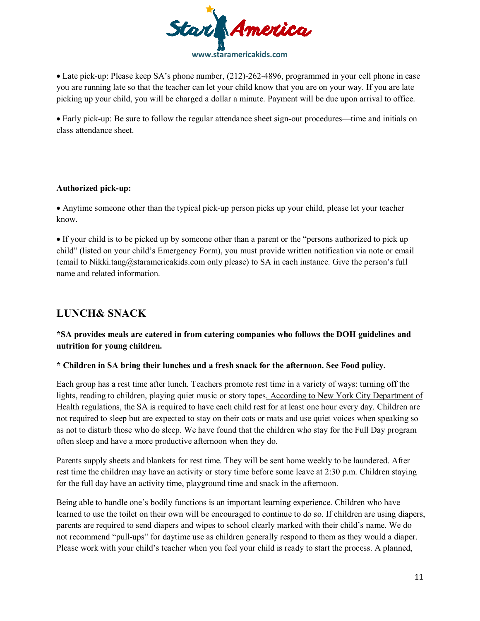

• Late pick-up: Please keep SA's phone number, (212)-262-4896, programmed in your cell phone in case you are running late so that the teacher can let your child know that you are on your way. If you are late picking up your child, you will be charged a dollar a minute. Payment will be due upon arrival to office.

• Early pick-up: Be sure to follow the regular attendance sheet sign-out procedures—time and initials on class attendance sheet.

### **Authorized pick-up:**

• Anytime someone other than the typical pick-up person picks up your child, please let your teacher know.

• If your child is to be picked up by someone other than a parent or the "persons authorized to pick up child" (listed on your child's Emergency Form), you must provide written notification via note or email (email to Nikki.tang@staramericakids.com only please) to SA in each instance. Give the person's full name and related information.

# **LUNCH& SNACK**

### **\*SA provides meals are catered in from catering companies who follows the DOH guidelines and nutrition for young children.**

### **\* Children in SA bring their lunches and a fresh snack for the afternoon. See Food policy.**

Each group has a rest time after lunch. Teachers promote rest time in a variety of ways: turning off the lights, reading to children, playing quiet music or story tapes. According to New York City Department of Health regulations, the SA is required to have each child rest for at least one hour every day. Children are not required to sleep but are expected to stay on their cots or mats and use quiet voices when speaking so as not to disturb those who do sleep. We have found that the children who stay for the Full Day program often sleep and have a more productive afternoon when they do.

Parents supply sheets and blankets for rest time. They will be sent home weekly to be laundered. After rest time the children may have an activity or story time before some leave at 2:30 p.m. Children staying for the full day have an activity time, playground time and snack in the afternoon.

Being able to handle one's bodily functions is an important learning experience. Children who have learned to use the toilet on their own will be encouraged to continue to do so. If children are using diapers, parents are required to send diapers and wipes to school clearly marked with their child's name. We do not recommend "pull-ups" for daytime use as children generally respond to them as they would a diaper. Please work with your child's teacher when you feel your child is ready to start the process. A planned,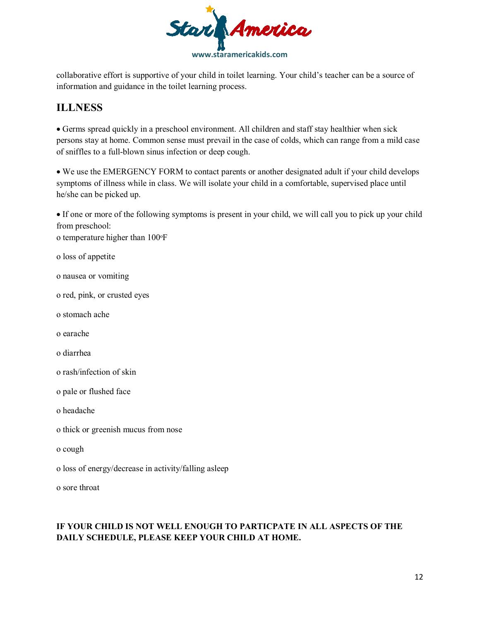

collaborative effort is supportive of your child in toilet learning. Your child's teacher can be a source of information and guidance in the toilet learning process.

# **ILLNESS**

• Germs spread quickly in a preschool environment. All children and staff stay healthier when sick persons stay at home. Common sense must prevail in the case of colds, which can range from a mild case of sniffles to a full-blown sinus infection or deep cough.

• We use the EMERGENCY FORM to contact parents or another designated adult if your child develops symptoms of illness while in class. We will isolate your child in a comfortable, supervised place until he/she can be picked up.

• If one or more of the following symptoms is present in your child, we will call you to pick up your child from preschool:

o temperature higher than 100°F

o loss of appetite

- o nausea or vomiting
- o red, pink, or crusted eyes
- o stomach ache
- o earache
- o diarrhea
- o rash/infection of skin
- o pale or flushed face
- o headache
- o thick or greenish mucus from nose
- o cough
- o loss of energy/decrease in activity/falling asleep

o sore throat

### **IF YOUR CHILD IS NOT WELL ENOUGH TO PARTICPATE IN ALL ASPECTS OF THE DAILY SCHEDULE, PLEASE KEEP YOUR CHILD AT HOME.**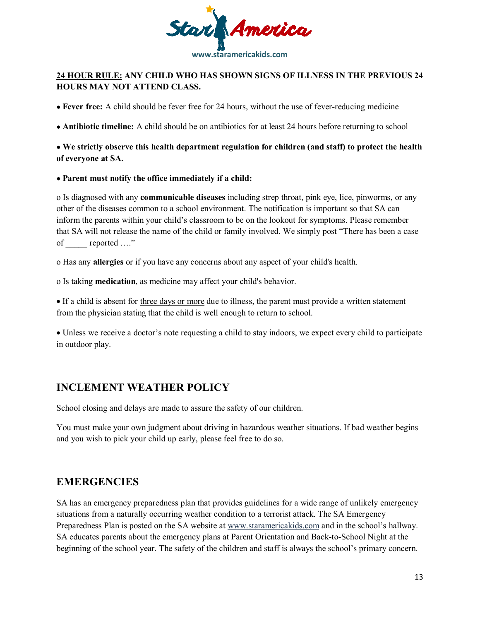

### **24 HOUR RULE: ANY CHILD WHO HAS SHOWN SIGNS OF ILLNESS IN THE PREVIOUS 24 HOURS MAY NOT ATTEND CLASS.**

• **Fever free:** A child should be fever free for 24 hours, without the use of fever-reducing medicine

• **Antibiotic timeline:** A child should be on antibiotics for at least 24 hours before returning to school

• **We strictly observe this health department regulation for children (and staff) to protect the health of everyone at SA.** 

### • **Parent must notify the office immediately if a child:**

o Is diagnosed with any **communicable diseases** including strep throat, pink eye, lice, pinworms, or any other of the diseases common to a school environment. The notification is important so that SA can inform the parents within your child's classroom to be on the lookout for symptoms. Please remember that SA will not release the name of the child or family involved. We simply post "There has been a case of reported …."

o Has any **allergies** or if you have any concerns about any aspect of your child's health.

o Is taking **medication**, as medicine may affect your child's behavior.

• If a child is absent for three days or more due to illness, the parent must provide a written statement from the physician stating that the child is well enough to return to school.

• Unless we receive a doctor's note requesting a child to stay indoors, we expect every child to participate in outdoor play.

# **INCLEMENT WEATHER POLICY**

School closing and delays are made to assure the safety of our children.

You must make your own judgment about driving in hazardous weather situations. If bad weather begins and you wish to pick your child up early, please feel free to do so.

# **EMERGENCIES**

SA has an emergency preparedness plan that provides guidelines for a wide range of unlikely emergency situations from a naturally occurring weather condition to a terrorist attack. The SA Emergency Preparedness Plan is posted on the SA website at www.staramericakids.com and in the school's hallway. SA educates parents about the emergency plans at Parent Orientation and Back-to-School Night at the beginning of the school year. The safety of the children and staff is always the school's primary concern.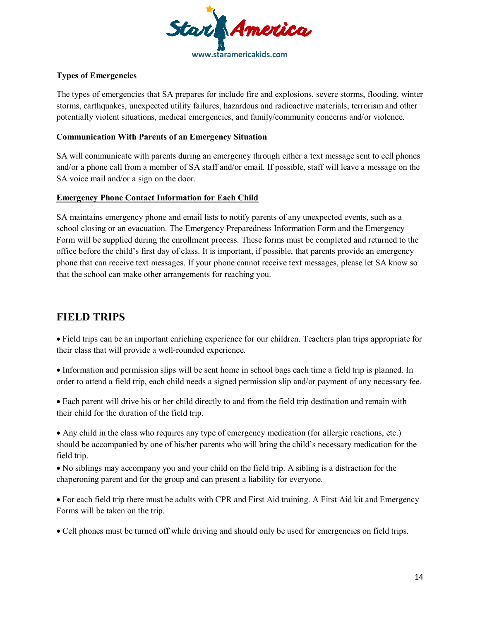

### **Types of Emergencies**

The types of emergencies that SA prepares for include fire and explosions, severe storms, flooding, winter storms, earthquakes, unexpected utility failures, hazardous and radioactive materials, terrorism and other potentially violent situations, medical emergencies, and family/community concerns and/or violence.

### **Communication With Parents of an Emergency Situation**

SA will communicate with parents during an emergency through either a text message sent to cell phones and/or a phone call from a member of SA staff and/or email. If possible, staff will leave a message on the SA voice mail and/or a sign on the door.

### **Emergency Phone Contact Information for Each Child**

SA maintains emergency phone and email lists to notify parents of any unexpected events, such as a school closing or an evacuation. The Emergency Preparedness Information Form and the Emergency Form will be supplied during the enrollment process. These forms must be completed and returned to the office before the child's first day of class. It is important, if possible, that parents provide an emergency phone that can receive text messages. If your phone cannot receive text messages, please let SA know so that the school can make other arrangements for reaching you.

## **FIELD TRIPS**

• Field trips can be an important enriching experience for our children. Teachers plan trips appropriate for their class that will provide a well-rounded experience.

• Information and permission slips will be sent home in school bags each time a field trip is planned. In order to attend a field trip, each child needs a signed permission slip and/or payment of any necessary fee.

• Each parent will drive his or her child directly to and from the field trip destination and remain with their child for the duration of the field trip.

• Any child in the class who requires any type of emergency medication (for allergic reactions, etc.) should be accompanied by one of his/her parents who will bring the child's necessary medication for the field trip.

• No siblings may accompany you and your child on the field trip. A sibling is a distraction for the chaperoning parent and for the group and can present a liability for everyone.

• For each field trip there must be adults with CPR and First Aid training. A First Aid kit and Emergency Forms will be taken on the trip.

• Cell phones must be turned off while driving and should only be used for emergencies on field trips.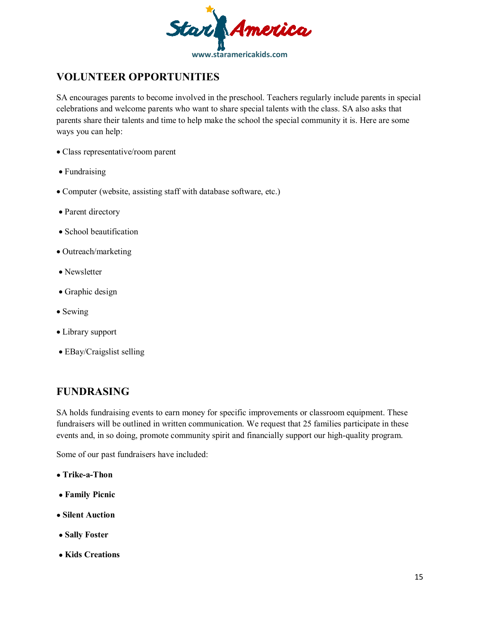

# **VOLUNTEER OPPORTUNITIES**

SA encourages parents to become involved in the preschool. Teachers regularly include parents in special celebrations and welcome parents who want to share special talents with the class. SA also asks that parents share their talents and time to help make the school the special community it is. Here are some ways you can help:

- Class representative/room parent
- Fundraising
- Computer (website, assisting staff with database software, etc.)
- Parent directory
- School beautification
- Outreach/marketing
- Newsletter
- Graphic design
- Sewing
- Library support
- EBay/Craigslist selling

# **FUNDRASING**

SA holds fundraising events to earn money for specific improvements or classroom equipment. These fundraisers will be outlined in written communication. We request that 25 families participate in these events and, in so doing, promote community spirit and financially support our high-quality program.

Some of our past fundraisers have included:

- • **Trike-a-Thon**
- • **Family Picnic**
- • **Silent Auction**
- • **Sally Foster**
- • **Kids Creations**